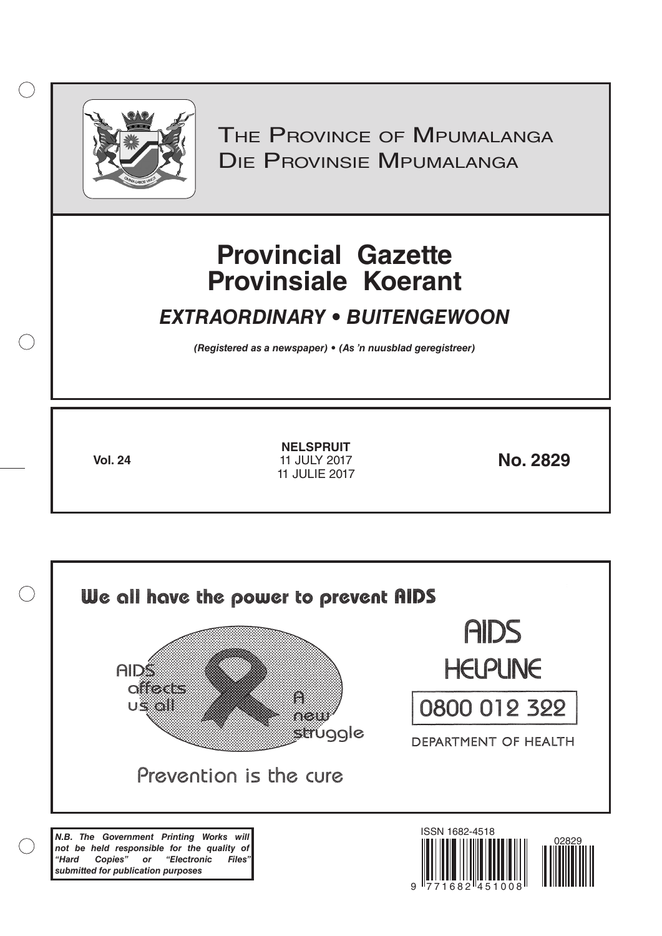

 $( )$ 

THE PROVINCE OF MPUMALANGA Die Provinsie Mpumalanga

# **Provincial Gazette Provinsiale Koerant**

## *EXTRAORDINARY • BUITENGEWOON*

*(Registered as a newspaper) • (As 'n nuusblad geregistreer)*

**Vol. 24 No. 2829 NELSPRUIT** 11 JULY 2017 11 JULIE 2017

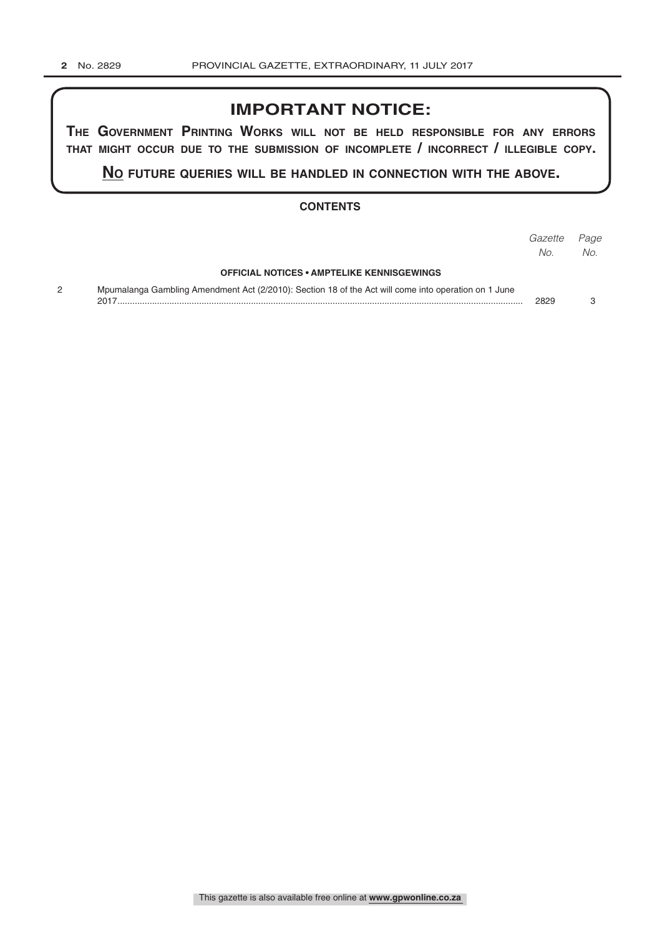## **IMPORTANT NOTICE:**

**The GovernmenT PrinTinG Works Will noT be held resPonsible for any errors ThaT miGhT occur due To The submission of incomPleTe / incorrecT / illeGible coPy.**

**no fuTure queries Will be handled in connecTion WiTh The above.**

## **CONTENTS**

|                                                                                                      | Gazette | Page |
|------------------------------------------------------------------------------------------------------|---------|------|
|                                                                                                      | No.     | No.  |
| <b>OFFICIAL NOTICES • AMPTELIKE KENNISGEWINGS</b>                                                    |         |      |
| Mpumalanga Gambling Amendment Act (2/2010): Section 18 of the Act will come into operation on 1 June | 2829    |      |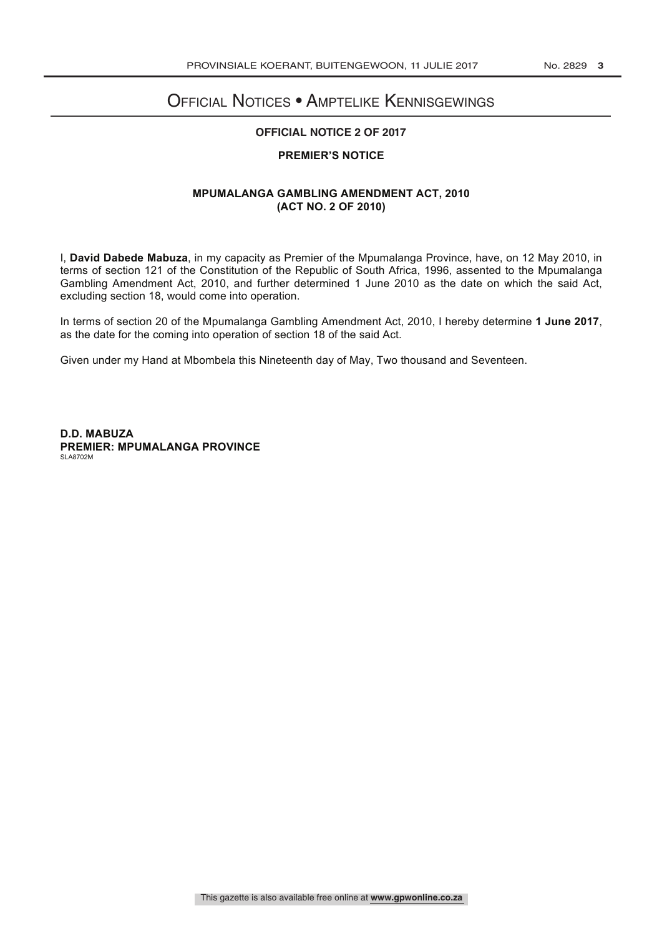## Official Notices • Amptelike Kennisgewings

#### **OFFICIAL NOTICE 2 OF 2017**

### **PREMIER'S NOTICE**

#### **MPUMALANGA GAMBLING AMENDMENT ACT, 2010 (ACT NO. 2 OF 2010)**

I, **David Dabede Mabuza**, in my capacity as Premier of the Mpumalanga Province, have, on 12 May 2010, in terms of section 121 of the Constitution of the Republic of South Africa, 1996, assented to the Mpumalanga Gambling Amendment Act, 2010, and further determined 1 June 2010 as the date on which the said Act, excluding section 18, would come into operation.

In terms of section 20 of the Mpumalanga Gambling Amendment Act, 2010, I hereby determine **1 June 2017**, as the date for the coming into operation of section 18 of the said Act.

Given under my Hand at Mbombela this Nineteenth day of May, Two thousand and Seventeen.

**D.D. MABUZA PREMIER: MPUMALANGA PROVINCE** SLA8702M